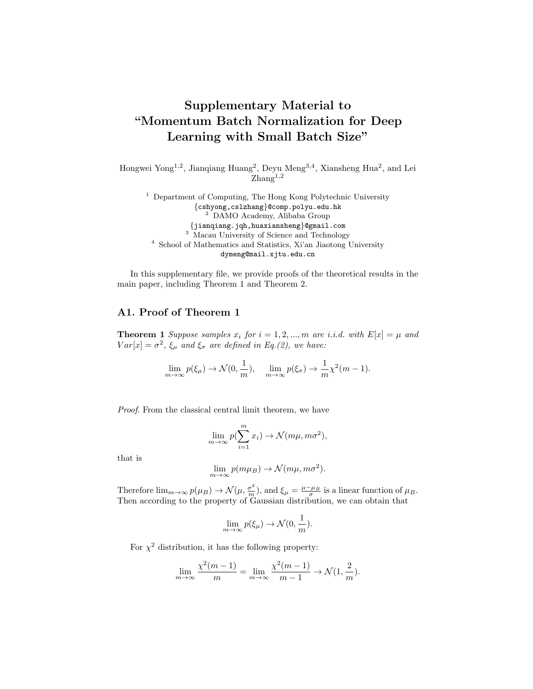## Supplementary Material to "Momentum Batch Normalization for Deep Learning with Small Batch Size"

Hongwei Yong<sup>1,2</sup>, Jianqiang Huang<sup>2</sup>, Deyu Meng<sup>3,4</sup>, Xiansheng Hua<sup>2</sup>, and Lei  $\text{Zhang}^{1,2}$ 

<sup>1</sup> Department of Computing, The Hong Kong Polytechnic University {cshyong,cslzhang}@comp.polyu.edu.hk <sup>2</sup> DAMO Academy, Alibaba Group {jianqiang.jqh,huaxiansheng}@gmail.com <sup>3</sup> Macau University of Science and Technology <sup>4</sup> School of Mathematics and Statistics, Xi'an Jiaotong University dymeng@mail.xjtu.edu.cn

In this supplementary file, we provide proofs of the theoretical results in the main paper, including Theorem 1 and Theorem 2.

## A1. Proof of Theorem 1

**Theorem 1** Suppose samples  $x_i$  for  $i = 1, 2, ..., m$  are i.i.d. with  $E[x] = \mu$  and  $Var[x] = \sigma^2$ ,  $\xi_{\mu}$  and  $\xi_{\sigma}$  are defined in Eq.(2), we have:

$$
\lim_{m \to \infty} p(\xi_{\mu}) \to \mathcal{N}(0, \frac{1}{m}), \quad \lim_{m \to \infty} p(\xi_{\sigma}) \to \frac{1}{m} \chi^2(m-1).
$$

Proof. From the classical central limit theorem, we have

$$
\lim_{m \to \infty} p(\sum_{i=1}^{m} x_i) \to \mathcal{N}(m\mu, m\sigma^2),
$$

that is

$$
\lim_{m \to \infty} p(m\mu_B) \to \mathcal{N}(m\mu, m\sigma^2).
$$

Therefore  $\lim_{m\to\infty} p(\mu) \to \mathcal{N}(\mu, \frac{\sigma^2}{m}),$  and  $\xi_{\mu} = \frac{\mu - \mu_B}{\sigma}$  is a linear function of  $\mu_B$ . Then according to the property of Gaussian distribution, we can obtain that

$$
\lim_{m \to \infty} p(\xi_{\mu}) \to \mathcal{N}(0, \frac{1}{m}).
$$

For  $\chi^2$  distribution, it has the following property:

$$
\lim_{m \to \infty} \frac{\chi^2(m-1)}{m} = \lim_{m \to \infty} \frac{\chi^2(m-1)}{m-1} \to \mathcal{N}(1, \frac{2}{m}).
$$